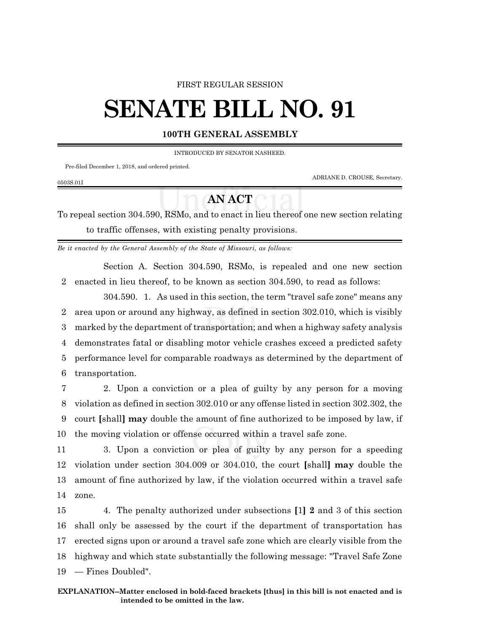## FIRST REGULAR SESSION

## **SENATE BILL NO. 91**

## **100TH GENERAL ASSEMBLY**

INTRODUCED BY SENATOR NASHEED.

Pre-filed December 1, 2018, and ordered printed.

0503S.01I

ADRIANE D. CROUSE, Secretary.

## **AN ACT**

To repeal section 304.590, RSMo, and to enact in lieu thereof one new section relating to traffic offenses, with existing penalty provisions.

*Be it enacted by the General Assembly of the State of Missouri, as follows:*

Section A. Section 304.590, RSMo, is repealed and one new section 2 enacted in lieu thereof, to be known as section 304.590, to read as follows:

304.590. 1. As used in this section, the term "travel safe zone" means any area upon or around any highway, as defined in section 302.010, which is visibly marked by the department of transportation; and when a highway safety analysis demonstrates fatal or disabling motor vehicle crashes exceed a predicted safety performance level for comparable roadways as determined by the department of transportation.

 2. Upon a conviction or a plea of guilty by any person for a moving violation as defined in section 302.010 or any offense listed in section 302.302, the court **[**shall**] may** double the amount of fine authorized to be imposed by law, if the moving violation or offense occurred within a travel safe zone.

 3. Upon a conviction or plea of guilty by any person for a speeding violation under section 304.009 or 304.010, the court **[**shall**] may** double the amount of fine authorized by law, if the violation occurred within a travel safe 14 zone.

 4. The penalty authorized under subsections **[**1**] 2** and 3 of this section shall only be assessed by the court if the department of transportation has erected signs upon or around a travel safe zone which are clearly visible from the highway and which state substantially the following message: "Travel Safe Zone — Fines Doubled".